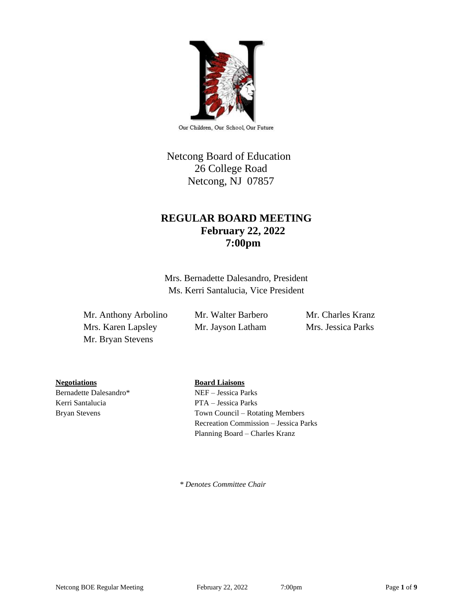

Our Children, Our School, Our Future

# Netcong Board of Education 26 College Road Netcong, NJ 07857

## **REGULAR BOARD MEETING February 22, 2022 7:00pm**

Mrs. Bernadette Dalesandro, President Ms. Kerri Santalucia, Vice President

Mr. Anthony Arbolino Mr. Walter Barbero Mr. Charles Kranz Mrs. Karen Lapsley Mr. Jayson Latham Mrs. Jessica Parks Mr. Bryan Stevens

**Negotiations Board Liaisons**

Bernadette Dalesandro\* NEF – Jessica Parks Kerri Santalucia PTA – Jessica Parks

Bryan Stevens Town Council – Rotating Members Recreation Commission – Jessica Parks Planning Board – Charles Kranz

 *\* Denotes Committee Chair*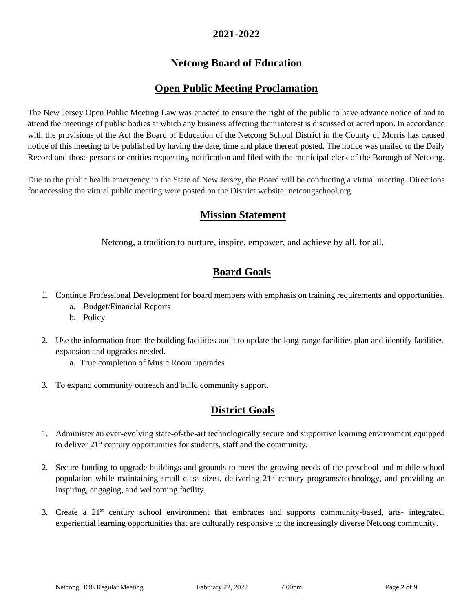### **2021-2022**

# **Netcong Board of Education**

## **Open Public Meeting Proclamation**

The New Jersey Open Public Meeting Law was enacted to ensure the right of the public to have advance notice of and to attend the meetings of public bodies at which any business affecting their interest is discussed or acted upon. In accordance with the provisions of the Act the Board of Education of the Netcong School District in the County of Morris has caused notice of this meeting to be published by having the date, time and place thereof posted. The notice was mailed to the Daily Record and those persons or entities requesting notification and filed with the municipal clerk of the Borough of Netcong.

Due to the public health emergency in the State of New Jersey, the Board will be conducting a virtual meeting. Directions for accessing the virtual public meeting were posted on the District website: netcongschool.org

## **Mission Statement**

Netcong, a tradition to nurture, inspire, empower, and achieve by all, for all.

## **Board Goals**

- 1. Continue Professional Development for board members with emphasis on training requirements and opportunities.
	- a. Budget/Financial Reports
	- b. Policy
- 2. Use the information from the building facilities audit to update the long-range facilities plan and identify facilities expansion and upgrades needed.
	- a. True completion of Music Room upgrades
- 3. To expand community outreach and build community support.

# **District Goals**

- 1. Administer an ever-evolving state-of-the-art technologically secure and supportive learning environment equipped to deliver 21st century opportunities for students, staff and the community.
- 2. Secure funding to upgrade buildings and grounds to meet the growing needs of the preschool and middle school population while maintaining small class sizes, delivering 21<sup>st</sup> century programs/technology, and providing an inspiring, engaging, and welcoming facility.
- 3. Create a 21st century school environment that embraces and supports community-based, arts- integrated, experiential learning opportunities that are culturally responsive to the increasingly diverse Netcong community.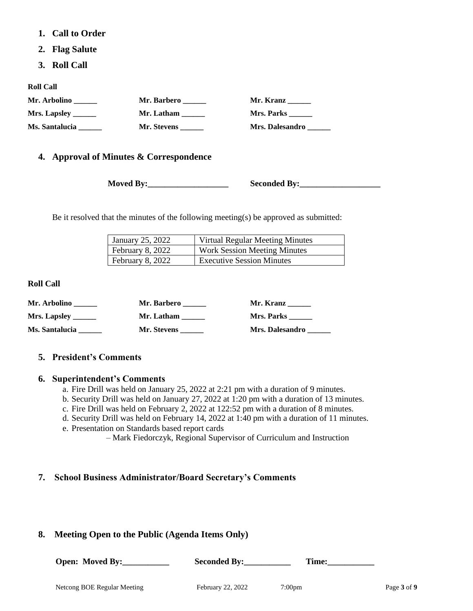- **1. Call to Order**
- **2. Flag Salute**
- **3. Roll Call**

**Roll Call**

| Mr. Arbolino          | Mr. Barbero | Mr. Kranz              |
|-----------------------|-------------|------------------------|
| Mrs. Lapsley $\_\_$   | Mr. Latham  | Mrs. Parks             |
| <b>Ms. Santalucia</b> | Mr. Stevens | <b>Mrs. Dalesandro</b> |

### **4. Approval of Minutes & Correspondence**

**Moved By:** Seconded By:

Be it resolved that the minutes of the following meeting(s) be approved as submitted:

| January 25, 2022 | <b>Virtual Regular Meeting Minutes</b> |
|------------------|----------------------------------------|
| February 8, 2022 | <b>Work Session Meeting Minutes</b>    |
| February 8, 2022 | <b>Executive Session Minutes</b>       |

#### **Roll Call**

| Mr. Arbolino        | Mr. Barbero | Mr. Kranz              |
|---------------------|-------------|------------------------|
| <b>Mrs. Lapsley</b> | Mr. Latham  | Mrs. Parks             |
| Ms. Santalucia      | Mr. Stevens | <b>Mrs. Dalesandro</b> |

#### **5. President's Comments**

#### **6. Superintendent's Comments**

- a. Fire Drill was held on January 25, 2022 at 2:21 pm with a duration of 9 minutes.
- b. Security Drill was held on January 27, 2022 at 1:20 pm with a duration of 13 minutes.
- c. Fire Drill was held on February 2, 2022 at 122:52 pm with a duration of 8 minutes.
- d. Security Drill was held on February 14, 2022 at 1:40 pm with a duration of 11 minutes.
- e. Presentation on Standards based report cards
	- Mark Fiedorczyk, Regional Supervisor of Curriculum and Instruction

### **7. School Business Administrator/Board Secretary's Comments**

### **8. Meeting Open to the Public (Agenda Items Only)**

| Open: Moved By: | <b>Seconded By:</b> | Time: |
|-----------------|---------------------|-------|
|                 |                     |       |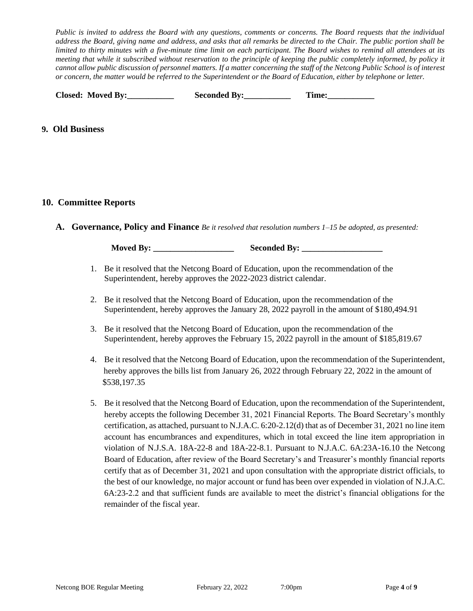*Public is invited to address the Board with any questions, comments or concerns. The Board requests that the individual address the Board, giving name and address, and asks that all remarks be directed to the Chair. The public portion shall be limited to thirty minutes with a five-minute time limit on each participant. The Board wishes to remind all attendees at its meeting that while it subscribed without reservation to the principle of keeping the public completely informed, by policy it cannot allow public discussion of personnel matters. If a matter concerning the staff of the Netcong Public School is of interest or concern, the matter would be referred to the Superintendent or the Board of Education, either by telephone or letter.*

| <b>Closed: Moved By:</b> | <b>Seconded By:</b> | Time: |
|--------------------------|---------------------|-------|
|--------------------------|---------------------|-------|

#### **9. Old Business**

#### **10. Committee Reports**

**A. Governance, Policy and Finance** *Be it resolved that resolution numbers 1–15 be adopted, as presented:*

**Moved By:** Seconded By:

- 1. Be it resolved that the Netcong Board of Education, upon the recommendation of the Superintendent, hereby approves the 2022-2023 district calendar.
- 2. Be it resolved that the Netcong Board of Education, upon the recommendation of the Superintendent, hereby approves the January 28, 2022 payroll in the amount of \$180,494.91
- 3. Be it resolved that the Netcong Board of Education, upon the recommendation of the Superintendent, hereby approves the February 15, 2022 payroll in the amount of \$185,819.67
- 4. Be it resolved that the Netcong Board of Education, upon the recommendation of the Superintendent, hereby approves the bills list from January 26, 2022 through February 22, 2022 in the amount of \$538,197.35
- 5. Be it resolved that the Netcong Board of Education, upon the recommendation of the Superintendent, hereby accepts the following December 31, 2021 Financial Reports. The Board Secretary's monthly certification, as attached, pursuant to N.J.A.C. 6:20-2.12(d) that as of December 31, 2021 no line item account has encumbrances and expenditures, which in total exceed the line item appropriation in violation of N.J.S.A. 18A-22-8 and 18A-22-8.1. Pursuant to N.J.A.C. 6A:23A-16.10 the Netcong Board of Education, after review of the Board Secretary's and Treasurer's monthly financial reports certify that as of December 31, 2021 and upon consultation with the appropriate district officials, to the best of our knowledge, no major account or fund has been over expended in violation of N.J.A.C. 6A:23-2.2 and that sufficient funds are available to meet the district's financial obligations for the remainder of the fiscal year.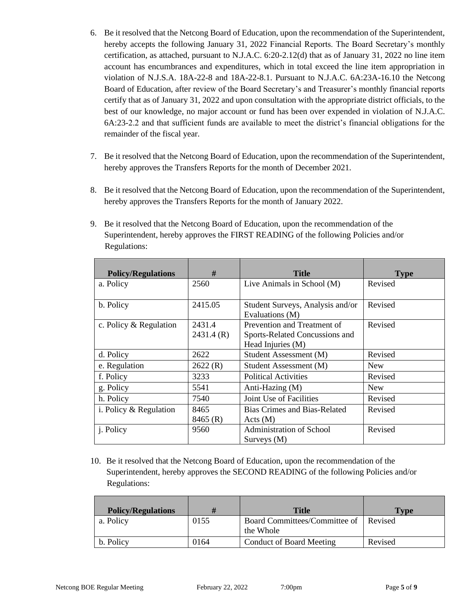- 6. Be it resolved that the Netcong Board of Education, upon the recommendation of the Superintendent, hereby accepts the following January 31, 2022 Financial Reports. The Board Secretary's monthly certification, as attached, pursuant to N.J.A.C. 6:20-2.12(d) that as of January 31, 2022 no line item account has encumbrances and expenditures, which in total exceed the line item appropriation in violation of N.J.S.A. 18A-22-8 and 18A-22-8.1. Pursuant to N.J.A.C. 6A:23A-16.10 the Netcong Board of Education, after review of the Board Secretary's and Treasurer's monthly financial reports certify that as of January 31, 2022 and upon consultation with the appropriate district officials, to the best of our knowledge, no major account or fund has been over expended in violation of N.J.A.C. 6A:23-2.2 and that sufficient funds are available to meet the district's financial obligations for the remainder of the fiscal year.
- 7. Be it resolved that the Netcong Board of Education, upon the recommendation of the Superintendent, hereby approves the Transfers Reports for the month of December 2021.
- 8. Be it resolved that the Netcong Board of Education, upon the recommendation of the Superintendent, hereby approves the Transfers Reports for the month of January 2022.
- 9. Be it resolved that the Netcong Board of Education, upon the recommendation of the Superintendent, hereby approves the FIRST READING of the following Policies and/or Regulations:

| <b>Policy/Regulations</b> | #                   | <b>Title</b>                                                                       | <b>Type</b> |
|---------------------------|---------------------|------------------------------------------------------------------------------------|-------------|
| a. Policy                 | 2560                | Live Animals in School (M)                                                         | Revised     |
| b. Policy                 | 2415.05             | Student Surveys, Analysis and/or<br>Evaluations (M)                                | Revised     |
| c. Policy & Regulation    | 2431.4<br>2431.4(R) | Prevention and Treatment of<br>Sports-Related Concussions and<br>Head Injuries (M) | Revised     |
| d. Policy                 | 2622                | Student Assessment (M)                                                             | Revised     |
| e. Regulation             | 2622(R)             | Student Assessment (M)                                                             | <b>New</b>  |
| f. Policy                 | 3233                | <b>Political Activities</b>                                                        | Revised     |
| g. Policy                 | 5541                | Anti-Hazing (M)                                                                    | <b>New</b>  |
| h. Policy                 | 7540                | Joint Use of Facilities                                                            | Revised     |
| i. Policy & Regulation    | 8465<br>8465 (R)    | Bias Crimes and Bias-Related<br>Acts(M)                                            | Revised     |
| <i>i</i> . Policy         | 9560                | Administration of School<br>Surveys (M)                                            | Revised     |

10. Be it resolved that the Netcong Board of Education, upon the recommendation of the Superintendent, hereby approves the SECOND READING of the following Policies and/or Regulations:

| <b>Policy/Regulations</b> |      | Title                                      | <b>Type</b> |
|---------------------------|------|--------------------------------------------|-------------|
| a. Policy                 | 0155 | Board Committees/Committee of<br>the Whole | Revised     |
| b. Policy                 | 0164 | <b>Conduct of Board Meeting</b>            | Revised     |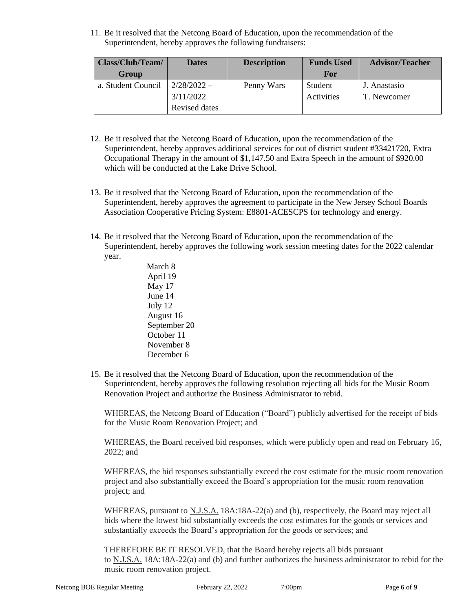11. Be it resolved that the Netcong Board of Education, upon the recommendation of the Superintendent, hereby approves the following fundraisers:

| Class/Club/Team/   | <b>Dates</b>  | <b>Description</b> | <b>Funds Used</b> | <b>Advisor/Teacher</b> |
|--------------------|---------------|--------------------|-------------------|------------------------|
| Group              |               |                    | For               |                        |
| a. Student Council | $2/28/2022 -$ | Penny Wars         | Student           | J. Anastasio           |
|                    | 3/11/2022     |                    | Activities        | T. Newcomer            |
|                    | Revised dates |                    |                   |                        |

- 12. Be it resolved that the Netcong Board of Education, upon the recommendation of the Superintendent, hereby approves additional services for out of district student #33421720, Extra Occupational Therapy in the amount of \$1,147.50 and Extra Speech in the amount of \$920.00 which will be conducted at the Lake Drive School.
- 13. Be it resolved that the Netcong Board of Education, upon the recommendation of the Superintendent, hereby approves the agreement to participate in the New Jersey School Boards Association Cooperative Pricing System: E8801-ACESCPS for technology and energy.
- 14. Be it resolved that the Netcong Board of Education, upon the recommendation of the Superintendent, hereby approves the following work session meeting dates for the 2022 calendar year.

 March 8 April 19 May 17 June 14 July 12 August 16 September 20 October 11 November 8 December 6

15. Be it resolved that the Netcong Board of Education, upon the recommendation of the Superintendent, hereby approves the following resolution rejecting all bids for the Music Room Renovation Project and authorize the Business Administrator to rebid.

WHEREAS, the Netcong Board of Education ("Board") publicly advertised for the receipt of bids for the Music Room Renovation Project; and

WHEREAS, the Board received bid responses, which were publicly open and read on February 16, 2022; and

WHEREAS, the bid responses substantially exceed the cost estimate for the music room renovation project and also substantially exceed the Board's appropriation for the music room renovation project; and

WHEREAS, pursuant to N.J.S.A. 18A:18A-22(a) and (b), respectively, the Board may reject all bids where the lowest bid substantially exceeds the cost estimates for the goods or services and substantially exceeds the Board's appropriation for the goods or services; and

THEREFORE BE IT RESOLVED, that the Board hereby rejects all bids pursuant to N.J.S.A. 18A:18A-22(a) and (b) and further authorizes the business administrator to rebid for the music room renovation project.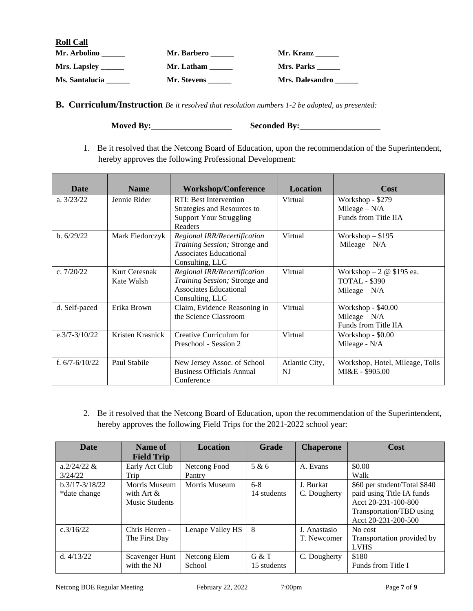| <b>Roll Call</b> |             |                   |
|------------------|-------------|-------------------|
| Mr. Arbolino     | Mr. Barbero | Mr. Kranz         |
| Mrs. Lapsley     | Mr. Latham  | <b>Mrs. Parks</b> |
| Ms. Santalucia   | Mr. Stevens | Mrs. Dalesandro   |

**B. Curriculum/Instruction** *Be it resolved that resolution numbers 1-2 be adopted, as presented:*

**Moved By:\_\_\_\_\_\_\_\_\_\_\_\_\_\_\_\_\_\_\_ Seconded By:\_\_\_\_\_\_\_\_\_\_\_\_\_\_\_\_\_\_\_**

1. Be it resolved that the Netcong Board of Education, upon the recommendation of the Superintendent, hereby approves the following Professional Development:

| Date               | <b>Name</b>                 | <b>Workshop/Conference</b>                                                                                 | <b>Location</b>      | Cost                                                                      |
|--------------------|-----------------------------|------------------------------------------------------------------------------------------------------------|----------------------|---------------------------------------------------------------------------|
| a. $3/23/22$       | Jennie Rider                | RTI: Best Intervention<br>Strategies and Resources to<br><b>Support Your Struggling</b><br>Readers         | Virtual              | Workshop - \$279<br>Mileage $- N/A$<br>Funds from Title IIA               |
| b. 6/29/22         | Mark Fiedorczyk             | Regional IRR/Recertification<br>Training Session; Stronge and<br>Associates Educational<br>Consulting, LLC | Virtual              | Workshop $-$ \$195<br>Mileage $-N/A$                                      |
| c. $7/20/22$       | Kurt Ceresnak<br>Kate Walsh | Regional IRR/Recertification<br>Training Session; Stronge and<br>Associates Educational<br>Consulting, LLC | Virtual              | Workshop $-2 \otimes $195$ ea.<br><b>TOTAL - \$390</b><br>Mileage $- N/A$ |
| d. Self-paced      | Erika Brown                 | Claim, Evidence Reasoning in<br>the Science Classroom                                                      | Virtual              | Workshop $-$ \$40.00<br>Mileage $- N/A$<br>Funds from Title IIA           |
| $e.3/7 - 3/10/22$  | Kristen Krasnick            | Creative Curriculum for<br>Preschool - Session 2                                                           | Virtual              | Workshop - \$0.00<br>Mileage - N/A                                        |
| f. $6/7 - 6/10/22$ | Paul Stabile                | New Jersey Assoc. of School<br><b>Business Officials Annual</b><br>Conference                              | Atlantic City,<br>NJ | Workshop, Hotel, Mileage, Tolls<br>MI&E - \$905.00                        |

2. Be it resolved that the Netcong Board of Education, upon the recommendation of the Superintendent, hereby approves the following Field Trips for the 2021-2022 school year:

| <b>Date</b>      | Name of               | <b>Location</b>  | <b>Grade</b> | <b>Chaperone</b> | Cost                         |
|------------------|-----------------------|------------------|--------------|------------------|------------------------------|
|                  | <b>Field Trip</b>     |                  |              |                  |                              |
| $a.2/24/22 \&$   | Early Act Club        | Netcong Food     | 5 & 6        | A. Evans         | \$0.00                       |
| 3/24/22          | Trip                  | Pantry           |              |                  | Walk                         |
| $h.3/17-3/18/22$ | Morris Museum         | Morris Museum    | $6 - 8$      | J. Burkat        | \$60 per student/Total \$840 |
| *date change     | with Art $\&$         |                  | 14 students  | C. Dougherty     | paid using Title IA funds    |
|                  | <b>Music Students</b> |                  |              |                  | Acct 20-231-100-800          |
|                  |                       |                  |              |                  | Transportation/TBD using     |
|                  |                       |                  |              |                  | Acct 20-231-200-500          |
| c.3/16/22        | Chris Herren -        | Lenape Valley HS | 8            | J. Anastasio     | No cost                      |
|                  | The First Day         |                  |              | T. Newcomer      | Transportation provided by   |
|                  |                       |                  |              |                  | <b>LVHS</b>                  |
| d. $4/13/22$     | Scavenger Hunt        | Netcong Elem     | G & T        | C. Dougherty     | \$180                        |
|                  | with the NJ           | School           | 15 students  |                  | Funds from Title I           |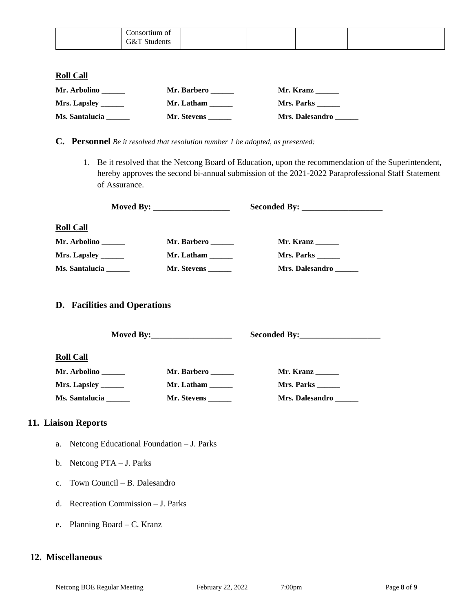| onsortium of<br>.            |  |  |
|------------------------------|--|--|
| $\Im\&^\mathsf{T}$<br>udents |  |  |

#### **Roll Call**

| Mr. Arbolino         | Mr. Barbero | Mr. Kranz              |
|----------------------|-------------|------------------------|
| Mrs. Lapsley _______ | Mr. Latham  | <b>Mrs. Parks</b>      |
| Ms. Santalucia       | Mr. Stevens | <b>Mrs. Dalesandro</b> |

- **C. Personnel** *Be it resolved that resolution number 1 be adopted, as presented:*
	- 1. Be it resolved that the Netcong Board of Education, upon the recommendation of the Superintendent, hereby approves the second bi-annual submission of the 2021-2022 Paraprofessional Staff Statement of Assurance.

|                       | Moved By: $\frac{1}{2}$ Moved By: |                        |
|-----------------------|-----------------------------------|------------------------|
|                       |                                   |                        |
| <b>Roll Call</b>      |                                   |                        |
| Mr. Arbolino          | Mr. Barbero                       | Mr. Kranz              |
|                       | Mr. Latham                        | <b>Mrs. Parks</b>      |
| <b>Ms. Santalucia</b> | <b>Mr. Stevens</b>                | <b>Mrs. Dalesandro</b> |

#### **D. Facilities and Operations**

**Moved By:\_\_\_\_\_\_\_\_\_\_\_\_\_\_\_\_\_\_\_ Seconded By:\_\_\_\_\_\_\_\_\_\_\_\_\_\_\_\_\_\_\_ Roll Call Mr. Arbolino \_\_\_\_\_\_ Mr. Barbero \_\_\_\_\_\_ Mr. Kranz \_\_\_\_\_\_ Mrs. Lapsley \_\_\_\_\_\_ Mr. Latham \_\_\_\_\_\_ Mrs. Parks \_\_\_\_\_\_ Ms. Santalucia \_\_\_\_\_\_ Mr. Stevens \_\_\_\_\_\_ Mrs. Dalesandro \_\_\_\_\_\_**

#### **11. Liaison Reports**

- a. Netcong Educational Foundation J. Parks
- b. Netcong PTA J. Parks
- c. Town Council B. Dalesandro
- d. Recreation Commission J. Parks
- e. Planning Board C. Kranz

#### **12. Miscellaneous**